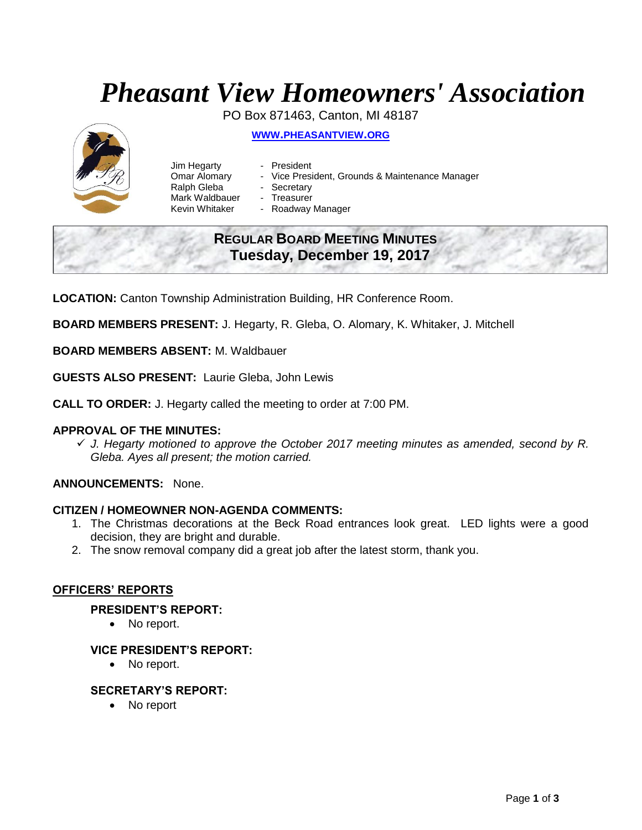# *Pheasant View Homeowners' Association*

PO Box 871463, Canton, MI 48187

**WWW.[PHEASANTVIEW](http://www.pheasantview.org/).ORG**



Jim Hegarty - President Omar Alomary - Vice President, Grounds & Maintenance Manager Ralph Gleba - Secretary Mark Waldbauer - Treasurer<br>Kevin Whitaker - Roadway

- 
- Roadway Manager

## **REGULAR BOARD MEETING MINUTES Tuesday, December 19, 2017**

**LOCATION:** Canton Township Administration Building, HR Conference Room.

**BOARD MEMBERS PRESENT:** J. Hegarty, R. Gleba, O. Alomary, K. Whitaker, J. Mitchell

**BOARD MEMBERS ABSENT:** M. Waldbauer

**GUESTS ALSO PRESENT:** Laurie Gleba, John Lewis

**CALL TO ORDER:** J. Hegarty called the meeting to order at 7:00 PM.

## **APPROVAL OF THE MINUTES:**

✓ *J. Hegarty motioned to approve the October 2017 meeting minutes as amended, second by R. Gleba. Ayes all present; the motion carried.* 

## **ANNOUNCEMENTS:** None.

#### **CITIZEN / HOMEOWNER NON-AGENDA COMMENTS:**

- 1. The Christmas decorations at the Beck Road entrances look great. LED lights were a good decision, they are bright and durable.
- 2. The snow removal company did a great job after the latest storm, thank you.

#### **OFFICERS' REPORTS**

#### **PRESIDENT'S REPORT:**

• No report.

#### **VICE PRESIDENT'S REPORT:**

• No report.

#### **SECRETARY'S REPORT:**

• No report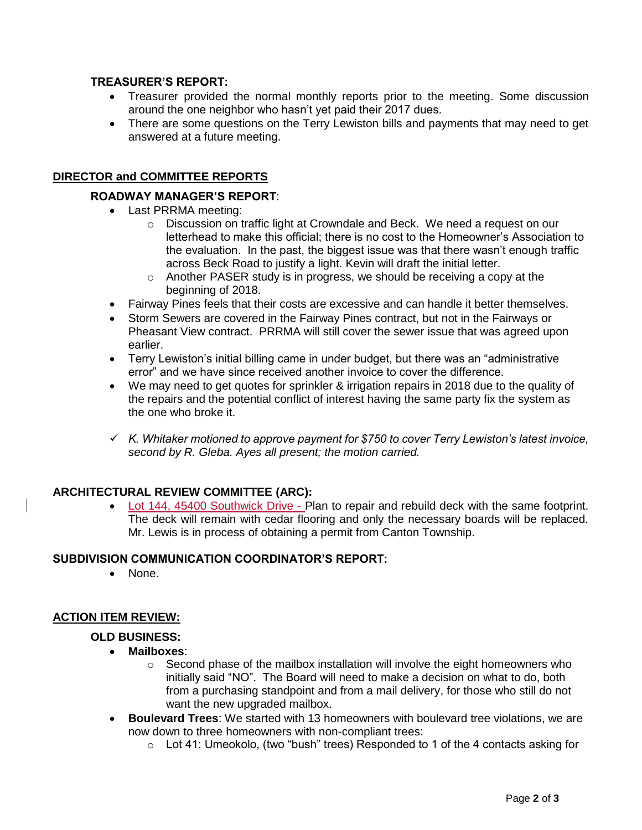## **TREASURER'S REPORT:**

- Treasurer provided the normal monthly reports prior to the meeting. Some discussion around the one neighbor who hasn't yet paid their 2017 dues.
- There are some questions on the Terry Lewiston bills and payments that may need to get answered at a future meeting.

## **DIRECTOR and COMMITTEE REPORTS**

## **ROADWAY MANAGER'S REPORT**:

- Last PRRMA meeting:
	- o Discussion on traffic light at Crowndale and Beck. We need a request on our letterhead to make this official; there is no cost to the Homeowner's Association to the evaluation. In the past, the biggest issue was that there wasn't enough traffic across Beck Road to justify a light. Kevin will draft the initial letter.
	- $\circ$  Another PASER study is in progress, we should be receiving a copy at the beginning of 2018.
- Fairway Pines feels that their costs are excessive and can handle it better themselves.
- Storm Sewers are covered in the Fairway Pines contract, but not in the Fairways or Pheasant View contract. PRRMA will still cover the sewer issue that was agreed upon earlier.
- Terry Lewiston's initial billing came in under budget, but there was an "administrative error" and we have since received another invoice to cover the difference.
- We may need to get quotes for sprinkler & irrigation repairs in 2018 due to the quality of the repairs and the potential conflict of interest having the same party fix the system as the one who broke it.
- ✓ *K. Whitaker motioned to approve payment for \$750 to cover Terry Lewiston's latest invoice, second by R. Gleba. Ayes all present; the motion carried.*

## **ARCHITECTURAL REVIEW COMMITTEE (ARC):**

• Lot 144, 45400 Southwick Drive - Plan to repair and rebuild deck with the same footprint. The deck will remain with cedar flooring and only the necessary boards will be replaced. Mr. Lewis is in process of obtaining a permit from Canton Township.

## **SUBDIVISION COMMUNICATION COORDINATOR'S REPORT:**

• None.

## **ACTION ITEM REVIEW:**

#### **OLD BUSINESS:**

- **Mailboxes**:
	- $\circ$  Second phase of the mailbox installation will involve the eight homeowners who initially said "NO". The Board will need to make a decision on what to do, both from a purchasing standpoint and from a mail delivery, for those who still do not want the new upgraded mailbox.
- **Boulevard Trees**: We started with 13 homeowners with boulevard tree violations, we are now down to three homeowners with non-compliant trees:
	- $\circ$  Lot 41: Umeokolo, (two "bush" trees) Responded to 1 of the 4 contacts asking for